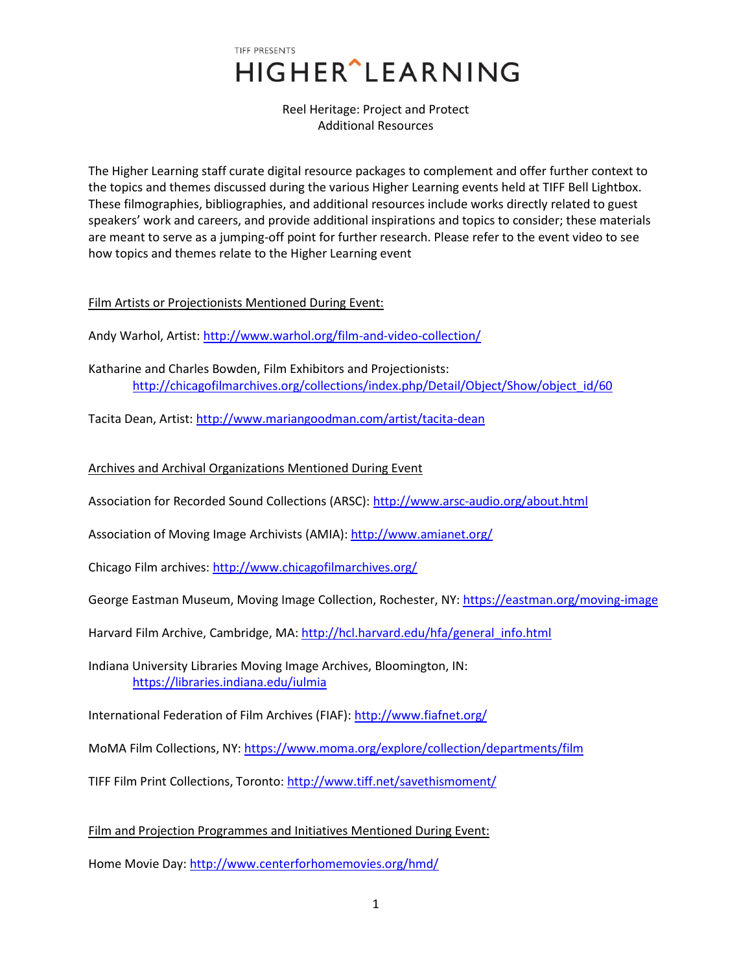Reel Heritage: Project and Protect Additional Resources

The Higher Learning staff curate digital resource packages to complement and offer further context to the topics and themes discussed during the various Higher Learning events held at TIFF Bell Lightbox. These filmographies, bibliographies, and additional resources include works directly related to guest speakers' work and careers, and provide additional inspirations and topics to consider; these materials are meant to serve as a jumping-off point for further research. Please refer to the event video to see how topics and themes relate to the Higher Learning event

Film Artists or Projectionists Mentioned During Event:

Andy Warhol, Artist: <http://www.warhol.org/film-and-video-collection/>

Katharine and Charles Bowden, Film Exhibitors and Projectionists: [http://chicagofilmarchives.org/collections/index.php/Detail/Object/Show/object\\_id/60](http://chicagofilmarchives.org/collections/index.php/Detail/Object/Show/object_id/60)

Tacita Dean, Artist: <http://www.mariangoodman.com/artist/tacita-dean>

### Archives and Archival Organizations Mentioned During Event

Association for Recorded Sound Collections (ARSC)[: http://www.arsc-audio.org/about.html](http://www.arsc-audio.org/about.html)

Association of Moving Image Archivists (AMIA): <http://www.amianet.org/>

Chicago Film archives: <http://www.chicagofilmarchives.org/>

George Eastman Museum, Moving Image Collection, Rochester, NY:<https://eastman.org/moving-image>

Harvard Film Archive, Cambridge, MA: http://hcl.harvard.edu/hfa/general\_info.html

Indiana University Libraries Moving Image Archives, Bloomington, IN: <https://libraries.indiana.edu/iulmia>

International Federation of Film Archives (FIAF)[: http://www.fiafnet.org/](http://www.fiafnet.org/)

MoMA Film Collections, NY:<https://www.moma.org/explore/collection/departments/film>

TIFF Film Print Collections, Toronto:<http://www.tiff.net/savethismoment/>

Film and Projection Programmes and Initiatives Mentioned During Event:

Home Movie Day: <http://www.centerforhomemovies.org/hmd/>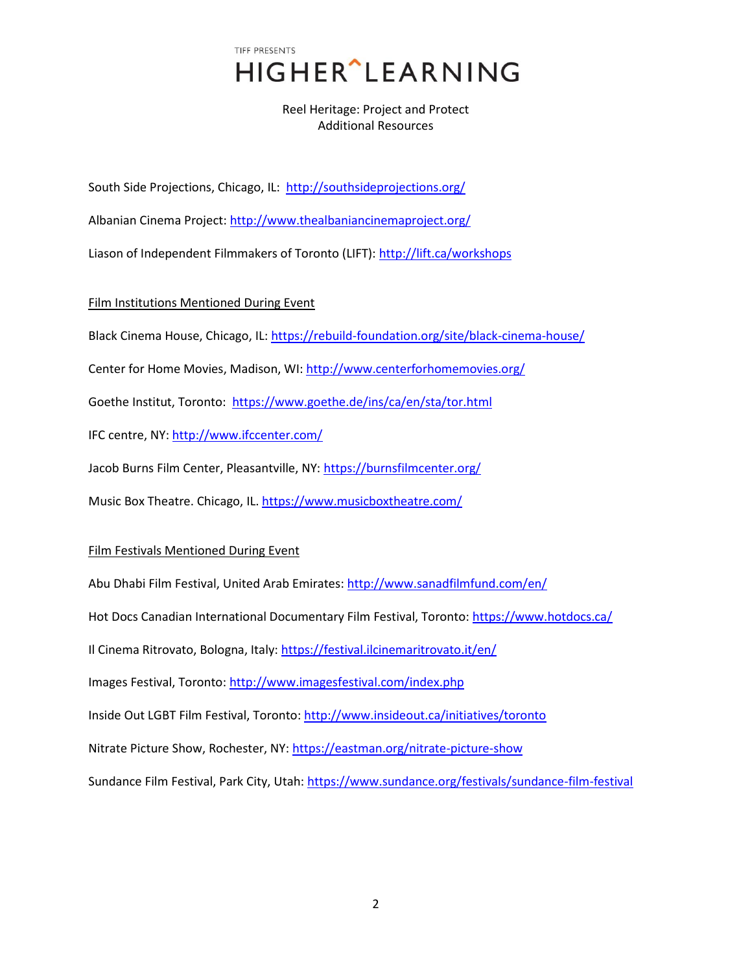## Reel Heritage: Project and Protect Additional Resources

South Side Projections, Chicago, IL: <http://southsideprojections.org/>

Albanian Cinema Project: <http://www.thealbaniancinemaproject.org/>

Liason of Independent Filmmakers of Toronto (LIFT): <http://lift.ca/workshops>

Film Institutions Mentioned During Event

Black Cinema House, Chicago, IL: <https://rebuild-foundation.org/site/black-cinema-house/>

Center for Home Movies, Madison, WI: <http://www.centerforhomemovies.org/>

Goethe Institut, Toronto: <https://www.goethe.de/ins/ca/en/sta/tor.html>

IFC centre, NY:<http://www.ifccenter.com/>

Jacob Burns Film Center, Pleasantville, NY: <https://burnsfilmcenter.org/>

Music Box Theatre. Chicago, IL[. https://www.musicboxtheatre.com/](https://www.musicboxtheatre.com/)

#### Film Festivals Mentioned During Event

Abu Dhabi Film Festival, United Arab Emirates[: http://www.sanadfilmfund.com/en/](http://www.sanadfilmfund.com/en/) Hot Docs Canadian International Documentary Film Festival, Toronto[: https://www.hotdocs.ca/](https://www.hotdocs.ca/) Il Cinema Ritrovato, Bologna, Italy:<https://festival.ilcinemaritrovato.it/en/> Images Festival, Toronto:<http://www.imagesfestival.com/index.php> Inside Out LGBT Film Festival, Toronto[: http://www.insideout.ca/initiatives/toronto](http://www.insideout.ca/initiatives/toronto) Nitrate Picture Show, Rochester, NY:<https://eastman.org/nitrate-picture-show> Sundance Film Festival, Park City, Utah:<https://www.sundance.org/festivals/sundance-film-festival>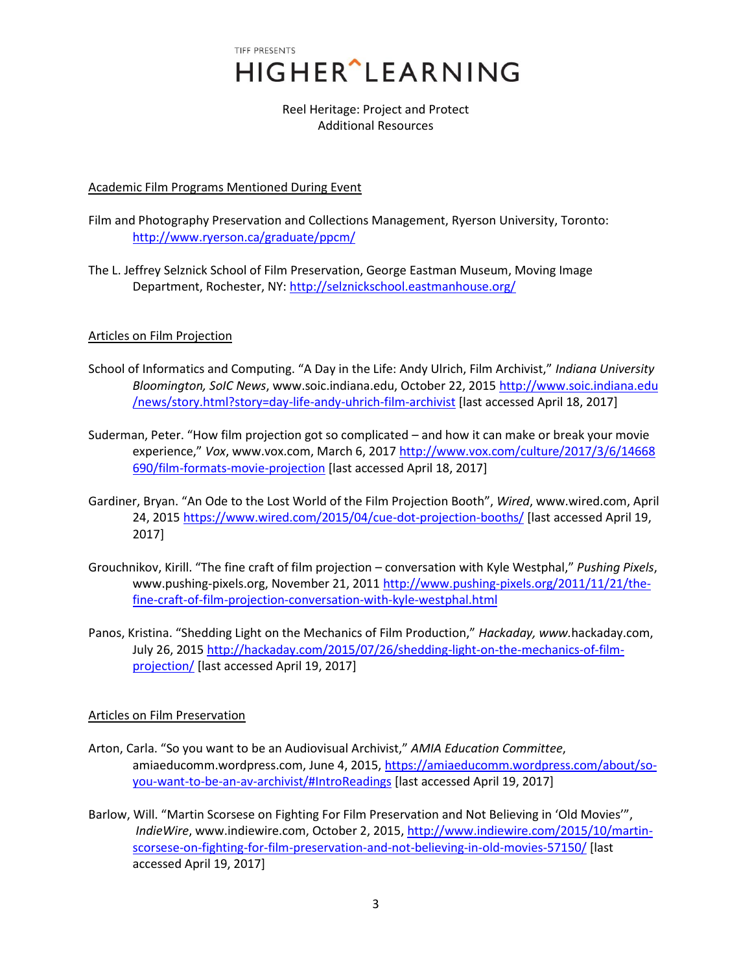> Reel Heritage: Project and Protect Additional Resources

#### Academic Film Programs Mentioned During Event

Film and Photography Preservation and Collections Management, Ryerson University, Toronto: <http://www.ryerson.ca/graduate/ppcm/>

The L. Jeffrey Selznick School of Film Preservation, George Eastman Museum, Moving Image Department, Rochester, NY:<http://selznickschool.eastmanhouse.org/>

### Articles on Film Projection

- School of Informatics and Computing. "A Day in the Life: Andy Ulrich, Film Archivist," *Indiana University Bloomington, SoIC News*, www.soic.indiana.edu, October 22, 2015 http://www.soic.indiana.edu /news/story.html?story=day-life-andy-uhrich-film-archivist [last accessed April 18, 2017]
- Suderman, Peter. "How film projection got so complicated and how it can make or break your movie experience," *Vox*, www.vox.com, March 6, 2017 [http://www.vox.com/culture/2017/3/6/14668](http://www.vox.com/culture/2017/3/6/14668%20690/film-formats-movie-projection)  [690/film-formats-movie-projection](http://www.vox.com/culture/2017/3/6/14668%20690/film-formats-movie-projection) [last accessed April 18, 2017]
- Gardiner, Bryan. "An Ode to the Lost World of the Film Projection Booth", *Wired*, www.wired.com, April 24, 2015<https://www.wired.com/2015/04/cue-dot-projection-booths/> [last accessed April 19, 2017]
- Grouchnikov, Kirill. "The fine craft of film projection conversation with Kyle Westphal," *Pushing Pixels*, www.pushing-pixels.org, November 21, 2011 [http://www.pushing-pixels.org/2011/11/21/the](http://www.pushing-pixels.org/2011/11/21/the-%20fine-craft-of-film-projection-conversation-with-kyle-westphal.html)[fine-craft-of-film-projection-conversation-with-kyle-westphal.html](http://www.pushing-pixels.org/2011/11/21/the-%20fine-craft-of-film-projection-conversation-with-kyle-westphal.html)
- Panos, Kristina. "Shedding Light on the Mechanics of Film Production," *Hackaday, www.*hackaday.com, July 26, 2015 [http://hackaday.com/2015/07/26/shedding-light-on-the-mechanics-of-film](http://hackaday.com/2015/07/26/shedding-light-on-the-mechanics-of-film-projection/)[projection/](http://hackaday.com/2015/07/26/shedding-light-on-the-mechanics-of-film-projection/) [last accessed April 19, 2017]

#### Articles on Film Preservation

- Arton, Carla. "So you want to be an Audiovisual Archivist," *AMIA Education Committee*, amiaeducomm.wordpress.com, June 4, 2015, [https://amiaeducomm.wordpress.com/about/so](https://amiaeducomm.wordpress.com/about/so-%20%20%09you-want-to-be-an-av-archivist/#IntroReadings)[you-want-to-be-an-av-archivist/#IntroReadings](https://amiaeducomm.wordpress.com/about/so-%20%20%09you-want-to-be-an-av-archivist/#IntroReadings) [last accessed April 19, 2017]
- Barlow, Will. "Martin Scorsese on Fighting For Film Preservation and Not Believing in 'Old Movies'", *IndieWire*, www.indiewire.com, October 2, 2015[, http://www.indiewire.com/2015/10/martin](http://www.indiewire.com/2015/10/martin-%09scorsese-on-fighting-for-film-preservation-and-not-believing-in-old-movies-57150/)[scorsese-on-fighting-for-film-preservation-and-not-believing-in-old-movies-57150/](http://www.indiewire.com/2015/10/martin-%09scorsese-on-fighting-for-film-preservation-and-not-believing-in-old-movies-57150/) [last accessed April 19, 2017]